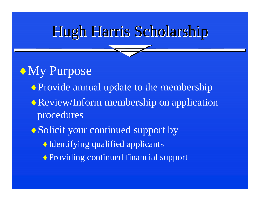## Hugh Harris Scholarship

#### My Purpose

- ◆ Provide annual update to the membership
- Review/Inform membership on application procedures
- ◆ Solicit your continued support by
	- Identifying qualified applicants
	- ◆ Providing continued financial support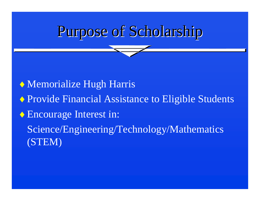# Purpose of Scholarship

◆ Memorialize Hugh Harris

- ♦ Provide Financial Assistance to Eligible Students
- ◆ Encourage Interest in:

Science/Engineering/Technology/Mathematics (STEM)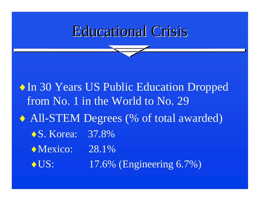#### **Educational Crisis**

 $\triangle$  In 30 Years US Public Education Dropped from No. 1 in the World to No. 29 All-STEM Degrees (% of total awarded) ◆ S. Korea: 37.8% • Mexico: 28.1% ◆ US: 17.6% (Engineering 6.7%)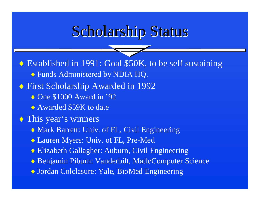## Scholarship Status

◆ Established in 1991: Goal \$50K, to be self sustaining Funds Administered by NDIA HQ. First Scholarship Awarded in 1992  $\triangle$  One \$1000 Award in '92 ◆ Awarded \$59K to date This year's winners Mark Barrett: Univ. of FL, Civil Engineering  $\blacklozenge$  Lauren Myers: Univ. of FL, Pre-Med Elizabeth Gallagher: Auburn, Civil Engineering ◆ Benjamin Piburn: Vanderbilt, Math/Computer Science Jordan Colclasure: Yale, BioMed Engineering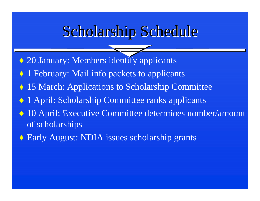#### Scholarship Schedule

◆ 20 January: Members identify applicants

- $\blacklozenge$ 1 February: Mail info packets to applicants
- 15 March: Applications to Scholarship Committee
- $\blacklozenge$ 1 April: Scholarship Committee ranks applicants
- 10 April: Executive Committee determines number/amount of scholarships
- $\triangle$  Early August: NDIA issues scholarship grants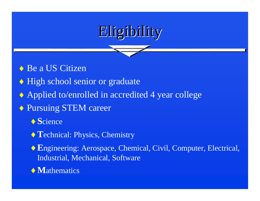

- ◆ Be a US Citizen
- High school senior or graduate
- Applied to/enrolled in accredited 4 year college
- ◆ Pursuing STEM career
	- ◆ Science
	- ◆ Technical: Physics, Chemistry
	- ◆ Engineering: Aerospace, Chemical, Civil, Computer, Electrical, Industrial, Mechanical, Software
	- $\lozenge$  Mathematics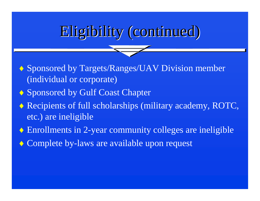## Eligibility (continued)

◆ Sponsored by Targets/Ranges/UAV Division member (individual or corporate)

- ◆ Sponsored by Gulf Coast Chapter
- Recipients of full scholarships (military academy, ROTC, etc.) are ineligible
- Enrollments in 2-year community colleges are ineligible
- ◆ Complete by-laws are available upon request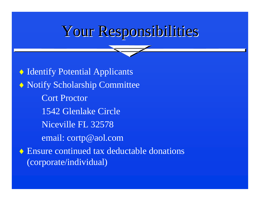## Your Responsibilities

 Identify Potential Applicants  $\leftrightarrow$  Notify Scholarship Committee Cort Proctor 1542 Glenlake CircleNiceville FL 32578email: cortp@aol.com Ensure continued tax deductable donations (corporate/individual)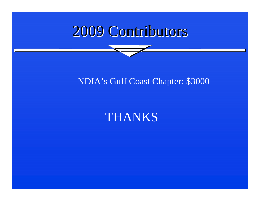## 2009 Contributors 2009 Contributors

#### NDIA's Gulf Coast Chapter: \$3000

#### **THANKS**